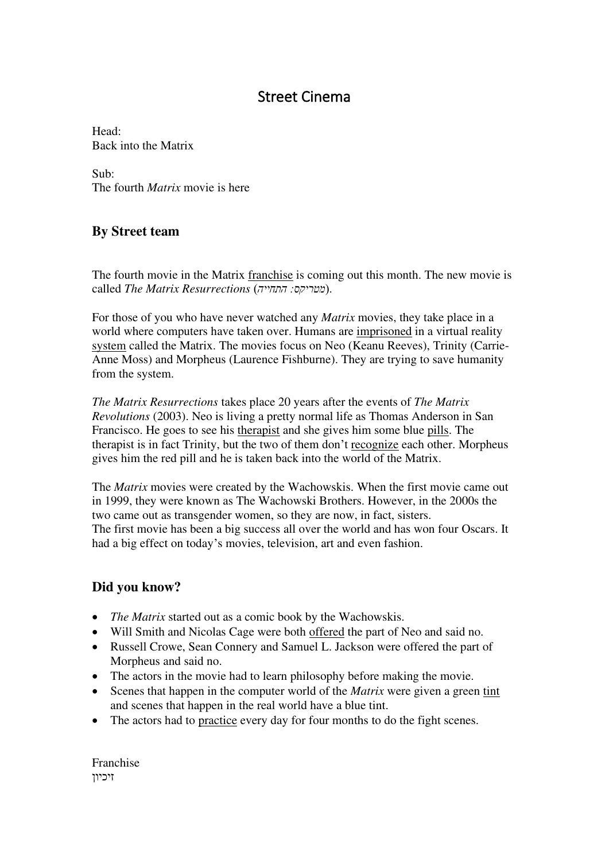## Street Cinema

Head: Back into the Matrix

Sub: The fourth *Matrix* movie is here

## **By Street team**

The fourth movie in the Matrix franchise is coming out this month. The new movie is called *The Matrix Resurrections* )*התחייה :מטריקס*).

For those of you who have never watched any *Matrix* movies, they take place in a world where computers have taken over. Humans are imprisoned in a virtual reality system called the Matrix. The movies focus on Neo (Keanu Reeves), Trinity (Carrie-Anne Moss) and Morpheus (Laurence Fishburne). They are trying to save humanity from the system.

*The Matrix Resurrections* takes place 20 years after the events of *The Matrix Revolutions* (2003). Neo is living a pretty normal life as Thomas Anderson in San Francisco. He goes to see his therapist and she gives him some blue pills. The therapist is in fact Trinity, but the two of them don't recognize each other. Morpheus gives him the red pill and he is taken back into the world of the Matrix.

The *Matrix* movies were created by the Wachowskis. When the first movie came out in 1999, they were known as The Wachowski Brothers. However, in the 2000s the two came out as transgender women, so they are now, in fact, sisters. The first movie has been a big success all over the world and has won four Oscars. It had a big effect on today's movies, television, art and even fashion.

## **Did you know?**

- *The Matrix* started out as a comic book by the Wachowskis.
- Will Smith and Nicolas Cage were both offered the part of Neo and said no.
- Russell Crowe, Sean Connery and Samuel L. Jackson were offered the part of Morpheus and said no.
- The actors in the movie had to learn philosophy before making the movie.
- Scenes that happen in the computer world of the *Matrix* were given a green tint and scenes that happen in the real world have a blue tint.
- The actors had to practice every day for four months to do the fight scenes.

Franchise ןזיכיו